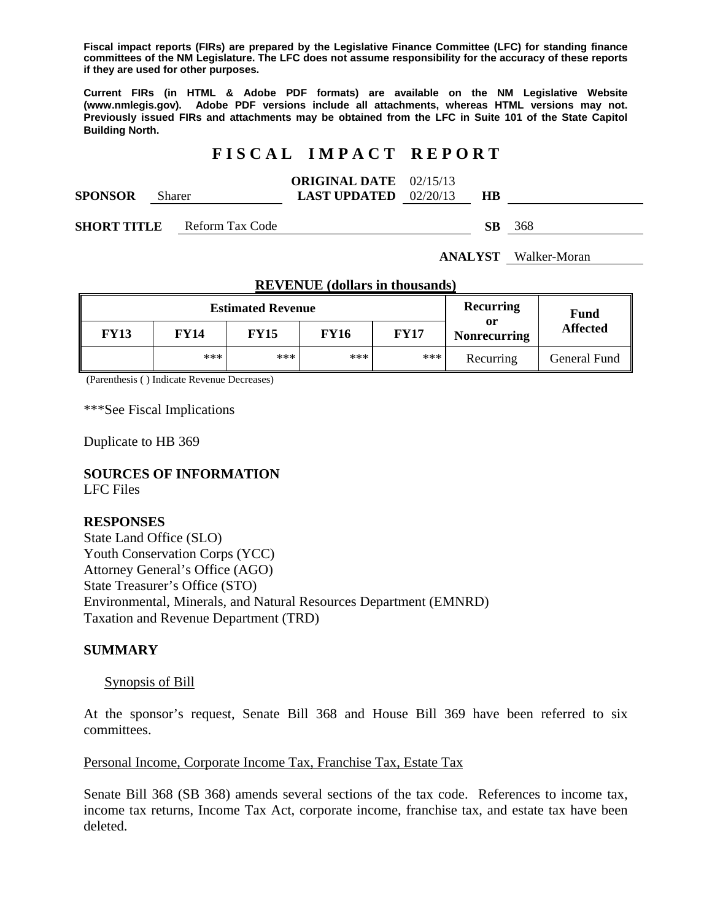**Fiscal impact reports (FIRs) are prepared by the Legislative Finance Committee (LFC) for standing finance committees of the NM Legislature. The LFC does not assume responsibility for the accuracy of these reports if they are used for other purposes.** 

**Current FIRs (in HTML & Adobe PDF formats) are available on the NM Legislative Website (www.nmlegis.gov). Adobe PDF versions include all attachments, whereas HTML versions may not. Previously issued FIRs and attachments may be obtained from the LFC in Suite 101 of the State Capitol Building North.**

# **F I S C A L I M P A C T R E P O R T**

|                |        | <b>ORIGINAL DATE</b> 02/15/13  |    |  |
|----------------|--------|--------------------------------|----|--|
| <b>SPONSOR</b> | Sharer | <b>LAST UPDATED</b> $02/20/13$ | HB |  |

**SHORT TITLE** Reform Tax Code **SB** 368

**ANALYST** Walker-Moran

| <b>Estimated Revenue</b> |       |             |             |             | Recurring                 | <b>Fund</b>     |
|--------------------------|-------|-------------|-------------|-------------|---------------------------|-----------------|
| <b>FY13</b>              | FY14  | <b>FY15</b> | <b>FY16</b> | <b>FY17</b> | or<br><b>Nonrecurring</b> | <b>Affected</b> |
|                          | $***$ | ***         | $***$       | ***         | Recurring                 | General Fund    |

**REVENUE (dollars in thousands)**

(Parenthesis ( ) Indicate Revenue Decreases)

\*\*\*See Fiscal Implications

Duplicate to HB 369

## **SOURCES OF INFORMATION**

LFC Files

#### **RESPONSES**

State Land Office (SLO) Youth Conservation Corps (YCC) Attorney General's Office (AGO) State Treasurer's Office (STO) Environmental, Minerals, and Natural Resources Department (EMNRD) Taxation and Revenue Department (TRD)

#### **SUMMARY**

#### Synopsis of Bill

At the sponsor's request, Senate Bill 368 and House Bill 369 have been referred to six committees.

### Personal Income, Corporate Income Tax, Franchise Tax, Estate Tax

Senate Bill 368 (SB 368) amends several sections of the tax code. References to income tax, income tax returns, Income Tax Act, corporate income, franchise tax, and estate tax have been deleted.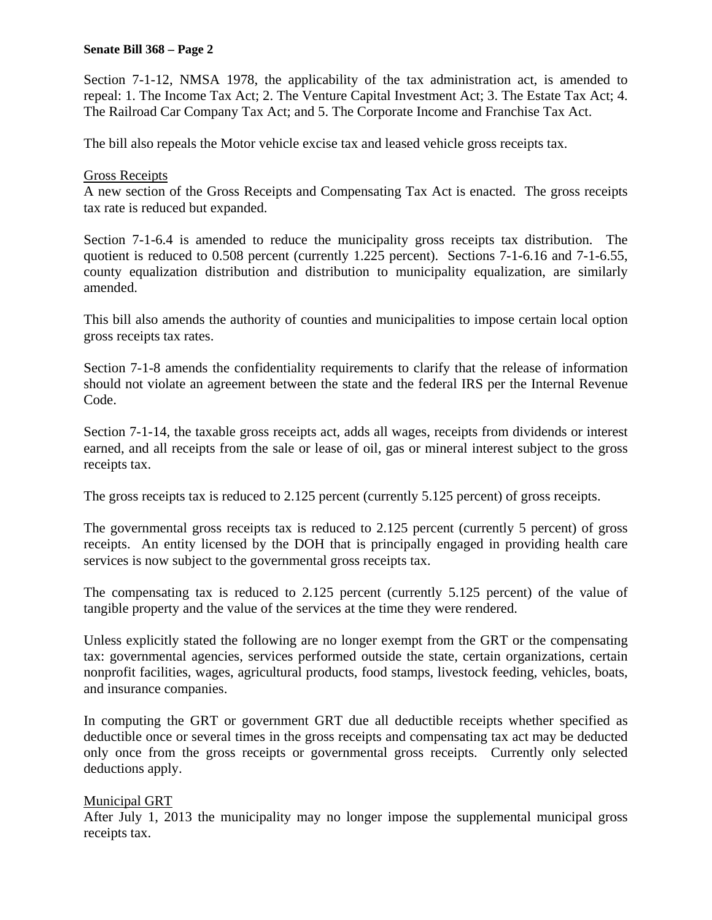Section 7-1-12, NMSA 1978, the applicability of the tax administration act, is amended to repeal: 1. The Income Tax Act; 2. The Venture Capital Investment Act; 3. The Estate Tax Act; 4. The Railroad Car Company Tax Act; and 5. The Corporate Income and Franchise Tax Act.

The bill also repeals the Motor vehicle excise tax and leased vehicle gross receipts tax.

## Gross Receipts

A new section of the Gross Receipts and Compensating Tax Act is enacted. The gross receipts tax rate is reduced but expanded.

Section 7-1-6.4 is amended to reduce the municipality gross receipts tax distribution. The quotient is reduced to 0.508 percent (currently 1.225 percent). Sections 7-1-6.16 and 7-1-6.55, county equalization distribution and distribution to municipality equalization, are similarly amended.

This bill also amends the authority of counties and municipalities to impose certain local option gross receipts tax rates.

Section 7-1-8 amends the confidentiality requirements to clarify that the release of information should not violate an agreement between the state and the federal IRS per the Internal Revenue Code.

Section 7-1-14, the taxable gross receipts act, adds all wages, receipts from dividends or interest earned, and all receipts from the sale or lease of oil, gas or mineral interest subject to the gross receipts tax.

The gross receipts tax is reduced to 2.125 percent (currently 5.125 percent) of gross receipts.

The governmental gross receipts tax is reduced to 2.125 percent (currently 5 percent) of gross receipts. An entity licensed by the DOH that is principally engaged in providing health care services is now subject to the governmental gross receipts tax.

The compensating tax is reduced to 2.125 percent (currently 5.125 percent) of the value of tangible property and the value of the services at the time they were rendered.

Unless explicitly stated the following are no longer exempt from the GRT or the compensating tax: governmental agencies, services performed outside the state, certain organizations, certain nonprofit facilities, wages, agricultural products, food stamps, livestock feeding, vehicles, boats, and insurance companies.

In computing the GRT or government GRT due all deductible receipts whether specified as deductible once or several times in the gross receipts and compensating tax act may be deducted only once from the gross receipts or governmental gross receipts. Currently only selected deductions apply.

## Municipal GRT

After July 1, 2013 the municipality may no longer impose the supplemental municipal gross receipts tax.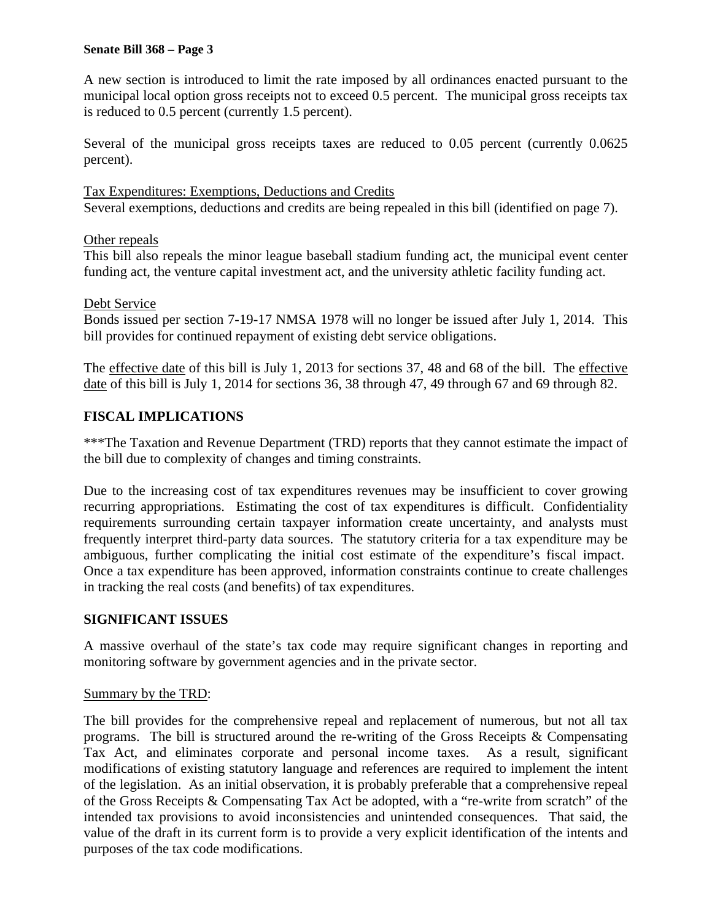A new section is introduced to limit the rate imposed by all ordinances enacted pursuant to the municipal local option gross receipts not to exceed 0.5 percent. The municipal gross receipts tax is reduced to 0.5 percent (currently 1.5 percent).

Several of the municipal gross receipts taxes are reduced to 0.05 percent (currently 0.0625 percent).

Tax Expenditures: Exemptions, Deductions and Credits Several exemptions, deductions and credits are being repealed in this bill (identified on page 7).

# Other repeals

This bill also repeals the minor league baseball stadium funding act, the municipal event center funding act, the venture capital investment act, and the university athletic facility funding act.

## Debt Service

Bonds issued per section 7-19-17 NMSA 1978 will no longer be issued after July 1, 2014. This bill provides for continued repayment of existing debt service obligations.

The effective date of this bill is July 1, 2013 for sections 37, 48 and 68 of the bill. The effective date of this bill is July 1, 2014 for sections 36, 38 through 47, 49 through 67 and 69 through 82.

# **FISCAL IMPLICATIONS**

\*\*\*The Taxation and Revenue Department (TRD) reports that they cannot estimate the impact of the bill due to complexity of changes and timing constraints.

Due to the increasing cost of tax expenditures revenues may be insufficient to cover growing recurring appropriations. Estimating the cost of tax expenditures is difficult. Confidentiality requirements surrounding certain taxpayer information create uncertainty, and analysts must frequently interpret third-party data sources. The statutory criteria for a tax expenditure may be ambiguous, further complicating the initial cost estimate of the expenditure's fiscal impact. Once a tax expenditure has been approved, information constraints continue to create challenges in tracking the real costs (and benefits) of tax expenditures.

## **SIGNIFICANT ISSUES**

A massive overhaul of the state's tax code may require significant changes in reporting and monitoring software by government agencies and in the private sector.

## Summary by the TRD:

The bill provides for the comprehensive repeal and replacement of numerous, but not all tax programs. The bill is structured around the re-writing of the Gross Receipts & Compensating Tax Act, and eliminates corporate and personal income taxes. As a result, significant modifications of existing statutory language and references are required to implement the intent of the legislation. As an initial observation, it is probably preferable that a comprehensive repeal of the Gross Receipts & Compensating Tax Act be adopted, with a "re-write from scratch" of the intended tax provisions to avoid inconsistencies and unintended consequences. That said, the value of the draft in its current form is to provide a very explicit identification of the intents and purposes of the tax code modifications.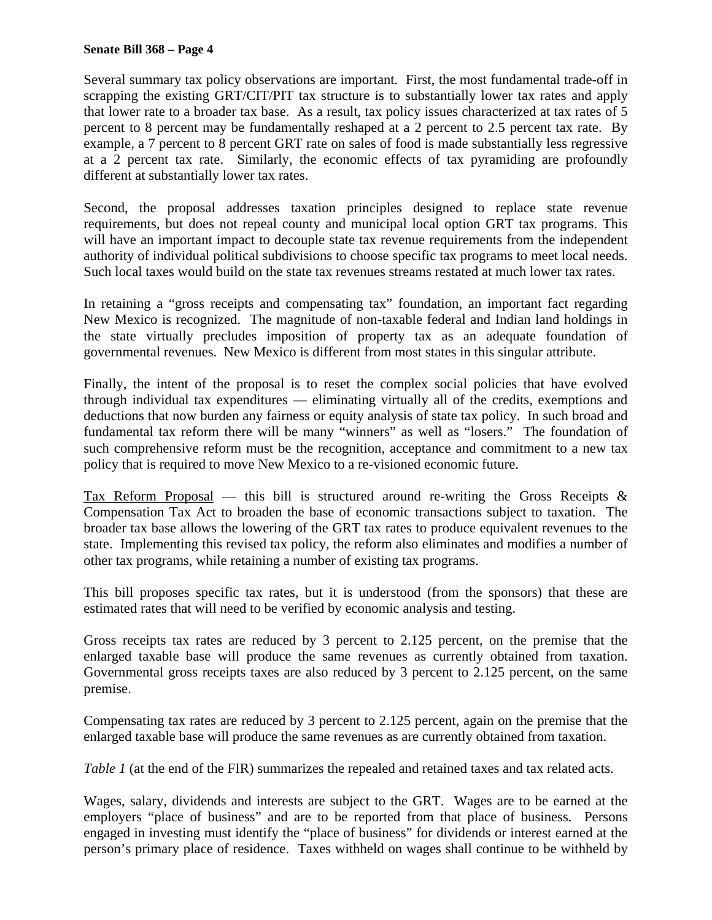Several summary tax policy observations are important. First, the most fundamental trade-off in scrapping the existing GRT/CIT/PIT tax structure is to substantially lower tax rates and apply that lower rate to a broader tax base. As a result, tax policy issues characterized at tax rates of 5 percent to 8 percent may be fundamentally reshaped at a 2 percent to 2.5 percent tax rate. By example, a 7 percent to 8 percent GRT rate on sales of food is made substantially less regressive at a 2 percent tax rate. Similarly, the economic effects of tax pyramiding are profoundly different at substantially lower tax rates.

Second, the proposal addresses taxation principles designed to replace state revenue requirements, but does not repeal county and municipal local option GRT tax programs. This will have an important impact to decouple state tax revenue requirements from the independent authority of individual political subdivisions to choose specific tax programs to meet local needs. Such local taxes would build on the state tax revenues streams restated at much lower tax rates.

In retaining a "gross receipts and compensating tax" foundation, an important fact regarding New Mexico is recognized. The magnitude of non-taxable federal and Indian land holdings in the state virtually precludes imposition of property tax as an adequate foundation of governmental revenues. New Mexico is different from most states in this singular attribute.

Finally, the intent of the proposal is to reset the complex social policies that have evolved through individual tax expenditures — eliminating virtually all of the credits, exemptions and deductions that now burden any fairness or equity analysis of state tax policy. In such broad and fundamental tax reform there will be many "winners" as well as "losers." The foundation of such comprehensive reform must be the recognition, acceptance and commitment to a new tax policy that is required to move New Mexico to a re-visioned economic future.

Tax Reform Proposal — this bill is structured around re-writing the Gross Receipts  $\&$ Compensation Tax Act to broaden the base of economic transactions subject to taxation. The broader tax base allows the lowering of the GRT tax rates to produce equivalent revenues to the state. Implementing this revised tax policy, the reform also eliminates and modifies a number of other tax programs, while retaining a number of existing tax programs.

This bill proposes specific tax rates, but it is understood (from the sponsors) that these are estimated rates that will need to be verified by economic analysis and testing.

Gross receipts tax rates are reduced by 3 percent to 2.125 percent, on the premise that the enlarged taxable base will produce the same revenues as currently obtained from taxation. Governmental gross receipts taxes are also reduced by 3 percent to 2.125 percent, on the same premise.

Compensating tax rates are reduced by 3 percent to 2.125 percent, again on the premise that the enlarged taxable base will produce the same revenues as are currently obtained from taxation.

*Table 1* (at the end of the FIR) summarizes the repealed and retained taxes and tax related acts.

Wages, salary, dividends and interests are subject to the GRT. Wages are to be earned at the employers "place of business" and are to be reported from that place of business. Persons engaged in investing must identify the "place of business" for dividends or interest earned at the person's primary place of residence. Taxes withheld on wages shall continue to be withheld by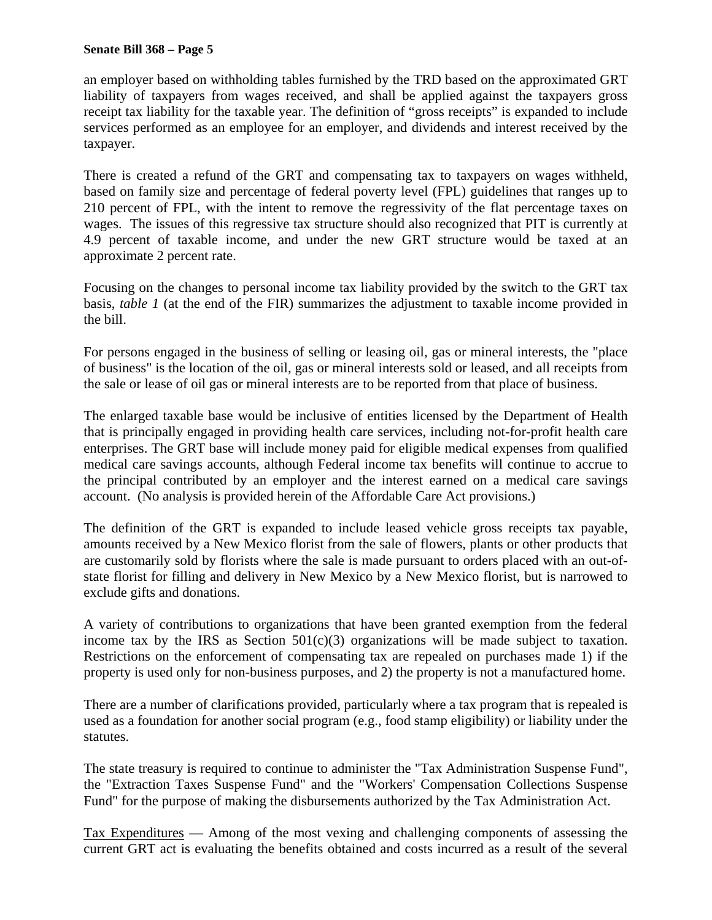an employer based on withholding tables furnished by the TRD based on the approximated GRT liability of taxpayers from wages received, and shall be applied against the taxpayers gross receipt tax liability for the taxable year. The definition of "gross receipts" is expanded to include services performed as an employee for an employer, and dividends and interest received by the taxpayer.

There is created a refund of the GRT and compensating tax to taxpayers on wages withheld, based on family size and percentage of federal poverty level (FPL) guidelines that ranges up to 210 percent of FPL, with the intent to remove the regressivity of the flat percentage taxes on wages. The issues of this regressive tax structure should also recognized that PIT is currently at 4.9 percent of taxable income, and under the new GRT structure would be taxed at an approximate 2 percent rate.

Focusing on the changes to personal income tax liability provided by the switch to the GRT tax basis, *table 1* (at the end of the FIR) summarizes the adjustment to taxable income provided in the bill.

For persons engaged in the business of selling or leasing oil, gas or mineral interests, the "place of business" is the location of the oil, gas or mineral interests sold or leased, and all receipts from the sale or lease of oil gas or mineral interests are to be reported from that place of business.

The enlarged taxable base would be inclusive of entities licensed by the Department of Health that is principally engaged in providing health care services, including not-for-profit health care enterprises. The GRT base will include money paid for eligible medical expenses from qualified medical care savings accounts, although Federal income tax benefits will continue to accrue to the principal contributed by an employer and the interest earned on a medical care savings account. (No analysis is provided herein of the Affordable Care Act provisions.)

The definition of the GRT is expanded to include leased vehicle gross receipts tax payable, amounts received by a New Mexico florist from the sale of flowers, plants or other products that are customarily sold by florists where the sale is made pursuant to orders placed with an out-ofstate florist for filling and delivery in New Mexico by a New Mexico florist, but is narrowed to exclude gifts and donations.

A variety of contributions to organizations that have been granted exemption from the federal income tax by the IRS as Section  $501(c)(3)$  organizations will be made subject to taxation. Restrictions on the enforcement of compensating tax are repealed on purchases made 1) if the property is used only for non-business purposes, and 2) the property is not a manufactured home.

There are a number of clarifications provided, particularly where a tax program that is repealed is used as a foundation for another social program (e.g., food stamp eligibility) or liability under the statutes.

The state treasury is required to continue to administer the "Tax Administration Suspense Fund", the "Extraction Taxes Suspense Fund" and the "Workers' Compensation Collections Suspense Fund" for the purpose of making the disbursements authorized by the Tax Administration Act.

Tax Expenditures — Among of the most vexing and challenging components of assessing the current GRT act is evaluating the benefits obtained and costs incurred as a result of the several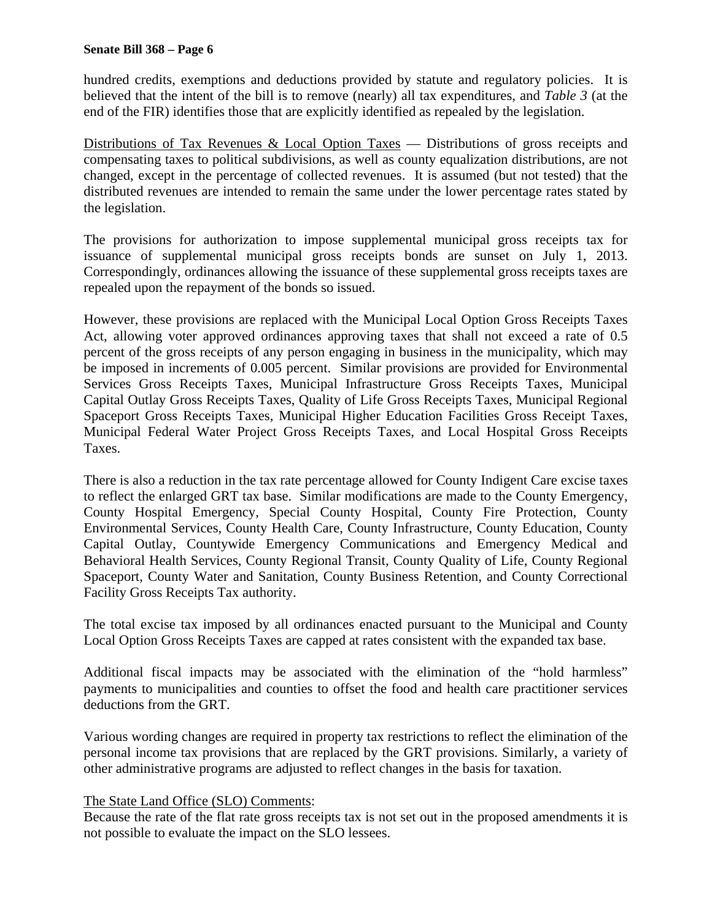hundred credits, exemptions and deductions provided by statute and regulatory policies. It is believed that the intent of the bill is to remove (nearly) all tax expenditures, and *Table 3* (at the end of the FIR) identifies those that are explicitly identified as repealed by the legislation.

Distributions of Tax Revenues & Local Option Taxes — Distributions of gross receipts and compensating taxes to political subdivisions, as well as county equalization distributions, are not changed, except in the percentage of collected revenues. It is assumed (but not tested) that the distributed revenues are intended to remain the same under the lower percentage rates stated by the legislation.

The provisions for authorization to impose supplemental municipal gross receipts tax for issuance of supplemental municipal gross receipts bonds are sunset on July 1, 2013. Correspondingly, ordinances allowing the issuance of these supplemental gross receipts taxes are repealed upon the repayment of the bonds so issued.

However, these provisions are replaced with the Municipal Local Option Gross Receipts Taxes Act, allowing voter approved ordinances approving taxes that shall not exceed a rate of 0.5 percent of the gross receipts of any person engaging in business in the municipality, which may be imposed in increments of 0.005 percent. Similar provisions are provided for Environmental Services Gross Receipts Taxes, Municipal Infrastructure Gross Receipts Taxes, Municipal Capital Outlay Gross Receipts Taxes, Quality of Life Gross Receipts Taxes, Municipal Regional Spaceport Gross Receipts Taxes, Municipal Higher Education Facilities Gross Receipt Taxes, Municipal Federal Water Project Gross Receipts Taxes, and Local Hospital Gross Receipts Taxes.

There is also a reduction in the tax rate percentage allowed for County Indigent Care excise taxes to reflect the enlarged GRT tax base. Similar modifications are made to the County Emergency, County Hospital Emergency, Special County Hospital, County Fire Protection, County Environmental Services, County Health Care, County Infrastructure, County Education, County Capital Outlay, Countywide Emergency Communications and Emergency Medical and Behavioral Health Services, County Regional Transit, County Quality of Life, County Regional Spaceport, County Water and Sanitation, County Business Retention, and County Correctional Facility Gross Receipts Tax authority.

The total excise tax imposed by all ordinances enacted pursuant to the Municipal and County Local Option Gross Receipts Taxes are capped at rates consistent with the expanded tax base.

Additional fiscal impacts may be associated with the elimination of the "hold harmless" payments to municipalities and counties to offset the food and health care practitioner services deductions from the GRT.

Various wording changes are required in property tax restrictions to reflect the elimination of the personal income tax provisions that are replaced by the GRT provisions. Similarly, a variety of other administrative programs are adjusted to reflect changes in the basis for taxation.

## The State Land Office (SLO) Comments:

Because the rate of the flat rate gross receipts tax is not set out in the proposed amendments it is not possible to evaluate the impact on the SLO lessees.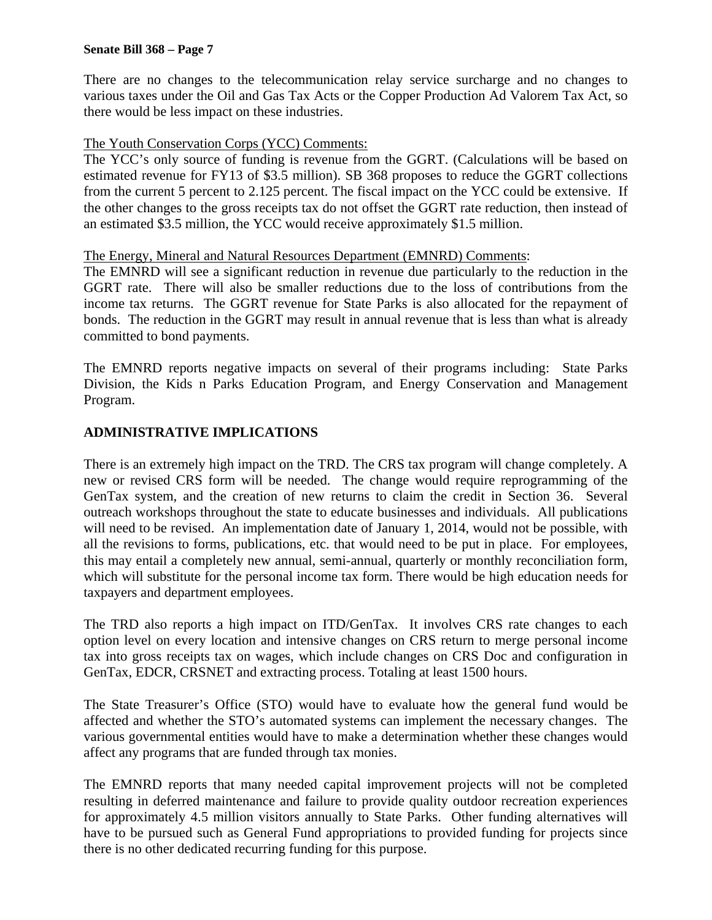There are no changes to the telecommunication relay service surcharge and no changes to various taxes under the Oil and Gas Tax Acts or the Copper Production Ad Valorem Tax Act, so there would be less impact on these industries.

## The Youth Conservation Corps (YCC) Comments:

The YCC's only source of funding is revenue from the GGRT. (Calculations will be based on estimated revenue for FY13 of \$3.5 million). SB 368 proposes to reduce the GGRT collections from the current 5 percent to 2.125 percent. The fiscal impact on the YCC could be extensive. If the other changes to the gross receipts tax do not offset the GGRT rate reduction, then instead of an estimated \$3.5 million, the YCC would receive approximately \$1.5 million.

## The Energy, Mineral and Natural Resources Department (EMNRD) Comments:

The EMNRD will see a significant reduction in revenue due particularly to the reduction in the GGRT rate. There will also be smaller reductions due to the loss of contributions from the income tax returns. The GGRT revenue for State Parks is also allocated for the repayment of bonds. The reduction in the GGRT may result in annual revenue that is less than what is already committed to bond payments.

The EMNRD reports negative impacts on several of their programs including: State Parks Division, the Kids n Parks Education Program, and Energy Conservation and Management Program.

# **ADMINISTRATIVE IMPLICATIONS**

There is an extremely high impact on the TRD. The CRS tax program will change completely. A new or revised CRS form will be needed. The change would require reprogramming of the GenTax system, and the creation of new returns to claim the credit in Section 36. Several outreach workshops throughout the state to educate businesses and individuals. All publications will need to be revised. An implementation date of January 1, 2014, would not be possible, with all the revisions to forms, publications, etc. that would need to be put in place. For employees, this may entail a completely new annual, semi-annual, quarterly or monthly reconciliation form, which will substitute for the personal income tax form. There would be high education needs for taxpayers and department employees.

The TRD also reports a high impact on ITD/GenTax. It involves CRS rate changes to each option level on every location and intensive changes on CRS return to merge personal income tax into gross receipts tax on wages, which include changes on CRS Doc and configuration in GenTax, EDCR, CRSNET and extracting process. Totaling at least 1500 hours.

The State Treasurer's Office (STO) would have to evaluate how the general fund would be affected and whether the STO's automated systems can implement the necessary changes. The various governmental entities would have to make a determination whether these changes would affect any programs that are funded through tax monies.

The EMNRD reports that many needed capital improvement projects will not be completed resulting in deferred maintenance and failure to provide quality outdoor recreation experiences for approximately 4.5 million visitors annually to State Parks. Other funding alternatives will have to be pursued such as General Fund appropriations to provided funding for projects since there is no other dedicated recurring funding for this purpose.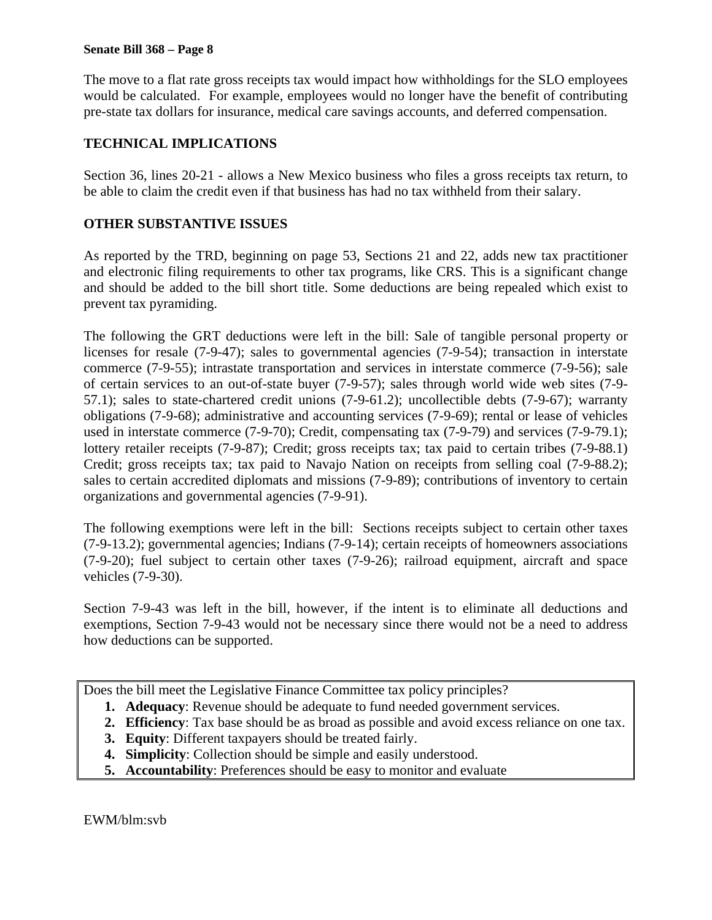The move to a flat rate gross receipts tax would impact how withholdings for the SLO employees would be calculated. For example, employees would no longer have the benefit of contributing pre-state tax dollars for insurance, medical care savings accounts, and deferred compensation.

# **TECHNICAL IMPLICATIONS**

Section 36, lines 20-21 - allows a New Mexico business who files a gross receipts tax return, to be able to claim the credit even if that business has had no tax withheld from their salary.

# **OTHER SUBSTANTIVE ISSUES**

As reported by the TRD, beginning on page 53, Sections 21 and 22, adds new tax practitioner and electronic filing requirements to other tax programs, like CRS. This is a significant change and should be added to the bill short title. Some deductions are being repealed which exist to prevent tax pyramiding.

The following the GRT deductions were left in the bill: Sale of tangible personal property or licenses for resale (7-9-47); sales to governmental agencies (7-9-54); transaction in interstate commerce (7-9-55); intrastate transportation and services in interstate commerce (7-9-56); sale of certain services to an out-of-state buyer (7-9-57); sales through world wide web sites (7-9- 57.1); sales to state-chartered credit unions (7-9-61.2); uncollectible debts (7-9-67); warranty obligations (7-9-68); administrative and accounting services (7-9-69); rental or lease of vehicles used in interstate commerce (7-9-70); Credit, compensating tax (7-9-79) and services (7-9-79.1); lottery retailer receipts (7-9-87); Credit; gross receipts tax; tax paid to certain tribes (7-9-88.1) Credit; gross receipts tax; tax paid to Navajo Nation on receipts from selling coal (7-9-88.2); sales to certain accredited diplomats and missions (7-9-89); contributions of inventory to certain organizations and governmental agencies (7-9-91).

The following exemptions were left in the bill: Sections receipts subject to certain other taxes (7-9-13.2); governmental agencies; Indians (7-9-14); certain receipts of homeowners associations (7-9-20); fuel subject to certain other taxes (7-9-26); railroad equipment, aircraft and space vehicles (7-9-30).

Section 7-9-43 was left in the bill, however, if the intent is to eliminate all deductions and exemptions, Section 7-9-43 would not be necessary since there would not be a need to address how deductions can be supported.

Does the bill meet the Legislative Finance Committee tax policy principles?

- **1. Adequacy**: Revenue should be adequate to fund needed government services.
- **2. Efficiency**: Tax base should be as broad as possible and avoid excess reliance on one tax.
- **3. Equity**: Different taxpayers should be treated fairly.
- **4. Simplicity**: Collection should be simple and easily understood.
- **5. Accountability**: Preferences should be easy to monitor and evaluate

EWM/blm:svb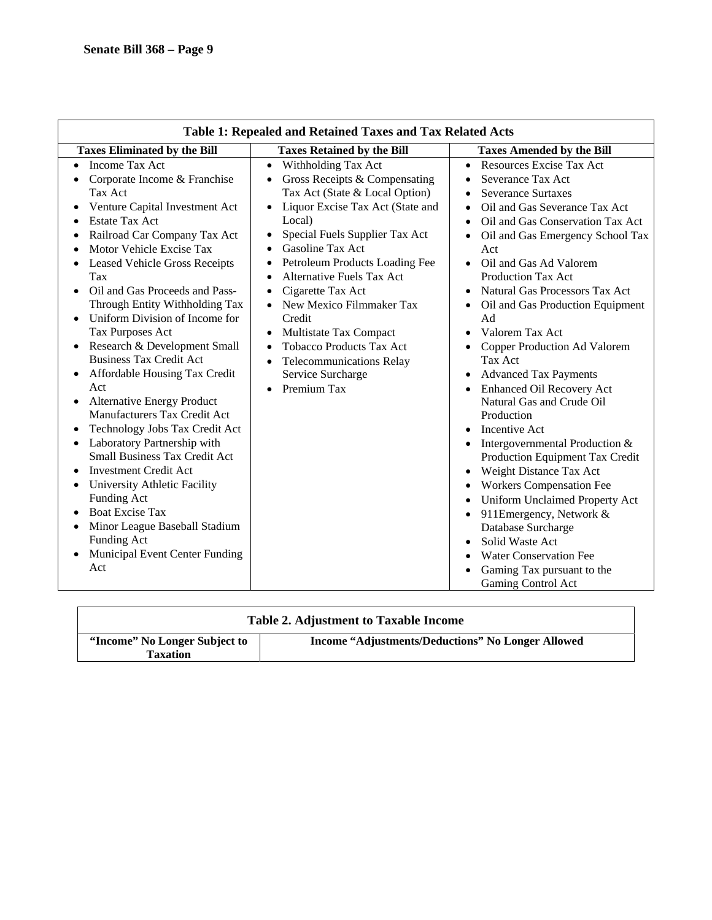| Table 1: Repealed and Retained Taxes and Tax Related Acts                                                                                                                                                                                                                                                                                                                                                                                                                                                                                                                                                                                                                                                                                                                                                                                                                            |                                                                                                                                                                                                                                                                                                                                                                                                                                                                                                                                                                                                                          |                                                                                                                                                                                                                                                                                                                                                                                                                                                                                                                                                                                                                                                                                                                                                                                                                                                                                                  |  |  |  |  |
|--------------------------------------------------------------------------------------------------------------------------------------------------------------------------------------------------------------------------------------------------------------------------------------------------------------------------------------------------------------------------------------------------------------------------------------------------------------------------------------------------------------------------------------------------------------------------------------------------------------------------------------------------------------------------------------------------------------------------------------------------------------------------------------------------------------------------------------------------------------------------------------|--------------------------------------------------------------------------------------------------------------------------------------------------------------------------------------------------------------------------------------------------------------------------------------------------------------------------------------------------------------------------------------------------------------------------------------------------------------------------------------------------------------------------------------------------------------------------------------------------------------------------|--------------------------------------------------------------------------------------------------------------------------------------------------------------------------------------------------------------------------------------------------------------------------------------------------------------------------------------------------------------------------------------------------------------------------------------------------------------------------------------------------------------------------------------------------------------------------------------------------------------------------------------------------------------------------------------------------------------------------------------------------------------------------------------------------------------------------------------------------------------------------------------------------|--|--|--|--|
| <b>Taxes Eliminated by the Bill</b>                                                                                                                                                                                                                                                                                                                                                                                                                                                                                                                                                                                                                                                                                                                                                                                                                                                  | <b>Taxes Retained by the Bill</b>                                                                                                                                                                                                                                                                                                                                                                                                                                                                                                                                                                                        | <b>Taxes Amended by the Bill</b>                                                                                                                                                                                                                                                                                                                                                                                                                                                                                                                                                                                                                                                                                                                                                                                                                                                                 |  |  |  |  |
| <b>Income Tax Act</b><br>Corporate Income & Franchise<br>Tax Act<br>Venture Capital Investment Act<br><b>Estate Tax Act</b><br>Railroad Car Company Tax Act<br>Motor Vehicle Excise Tax<br><b>Leased Vehicle Gross Receipts</b><br>Tax<br>Oil and Gas Proceeds and Pass-<br>Through Entity Withholding Tax<br>Uniform Division of Income for<br>Tax Purposes Act<br>Research & Development Small<br><b>Business Tax Credit Act</b><br>Affordable Housing Tax Credit<br>Act<br><b>Alternative Energy Product</b><br>$\bullet$<br>Manufacturers Tax Credit Act<br>Technology Jobs Tax Credit Act<br>Laboratory Partnership with<br><b>Small Business Tax Credit Act</b><br><b>Investment Credit Act</b><br>University Athletic Facility<br>Funding Act<br><b>Boat Excise Tax</b><br>Minor League Baseball Stadium<br>Funding Act<br>Municipal Event Center Funding<br>$\bullet$<br>Act | Withholding Tax Act<br>$\bullet$<br>Gross Receipts & Compensating<br>$\bullet$<br>Tax Act (State & Local Option)<br>Liquor Excise Tax Act (State and<br>$\bullet$<br>Local)<br>Special Fuels Supplier Tax Act<br>٠<br>Gasoline Tax Act<br>$\bullet$<br>Petroleum Products Loading Fee<br>٠<br><b>Alternative Fuels Tax Act</b><br>$\bullet$<br>Cigarette Tax Act<br>$\bullet$<br>New Mexico Filmmaker Tax<br>$\bullet$<br>Credit<br>Multistate Tax Compact<br>$\bullet$<br><b>Tobacco Products Tax Act</b><br>$\bullet$<br><b>Telecommunications Relay</b><br>$\bullet$<br>Service Surcharge<br>Premium Tax<br>$\bullet$ | Resources Excise Tax Act<br>Severance Tax Act<br><b>Severance Surtaxes</b><br>$\bullet$<br>Oil and Gas Severance Tax Act<br>$\bullet$<br>Oil and Gas Conservation Tax Act<br>Oil and Gas Emergency School Tax<br>Act<br>Oil and Gas Ad Valorem<br>Production Tax Act<br><b>Natural Gas Processors Tax Act</b><br>Oil and Gas Production Equipment<br>Ad<br>Valorem Tax Act<br>Copper Production Ad Valorem<br>Tax Act<br><b>Advanced Tax Payments</b><br><b>Enhanced Oil Recovery Act</b><br>Natural Gas and Crude Oil<br>Production<br>Incentive Act<br>Intergovernmental Production &<br>Production Equipment Tax Credit<br>Weight Distance Tax Act<br>$\bullet$<br><b>Workers Compensation Fee</b><br>Uniform Unclaimed Property Act<br>911Emergency, Network &<br>Database Surcharge<br>Solid Waste Act<br><b>Water Conservation Fee</b><br>Gaming Tax pursuant to the<br>Gaming Control Act |  |  |  |  |

| Table 2. Adjustment to Taxable Income            |                                                          |  |
|--------------------------------------------------|----------------------------------------------------------|--|
| "Income" No Longer Subject to<br><b>Taxation</b> | <b>Income "Adjustments/Deductions" No Longer Allowed</b> |  |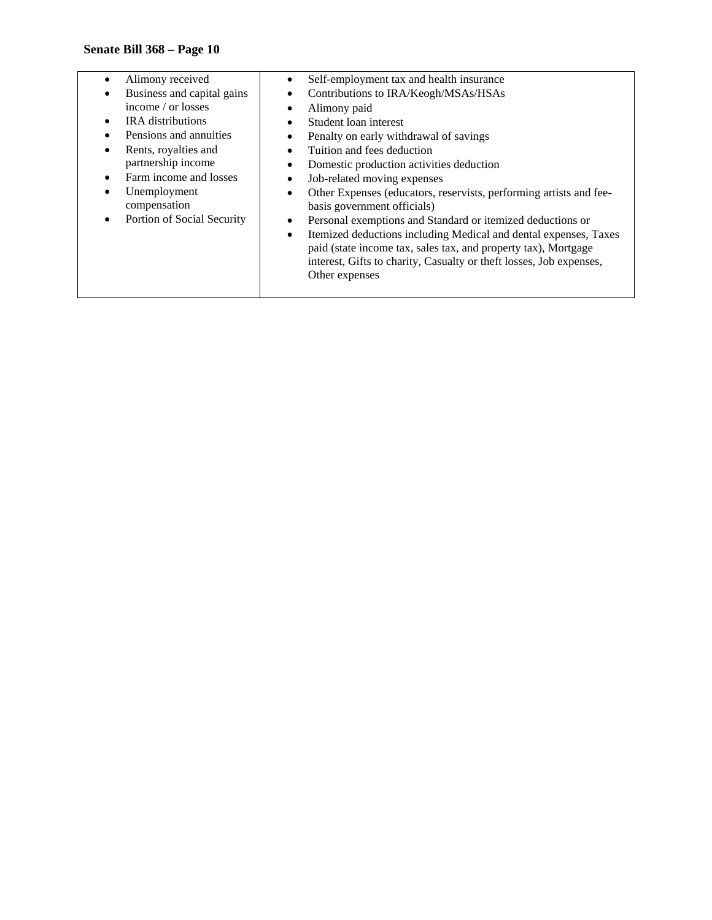- Alimony received • Business and capital gains • Self-employment tax and health insurance • Contributions to IRA/Keogh/MSAs/HSAs • Alimony paid • Student loan interest • Penalty on early withdrawal of savings • Tuition and fees deduction Domestic production activities deduction Job-related moving expenses Other Expenses (educators, reservists, performing artists and feebasis government officials) Personal exemptions and Standard or itemized deductions or
	- Itemized deductions including Medical and dental expenses, Taxes paid (state income tax, sales tax, and property tax), Mortgage interest, Gifts to charity, Casualty or theft losses, Job expenses, Other expenses
- income / or losses
- IRA distributions
- Pensions and annuities
- Rents, royalties and partnership income
- Farm income and losses
- Unemployment compensation
- Portion of Social Security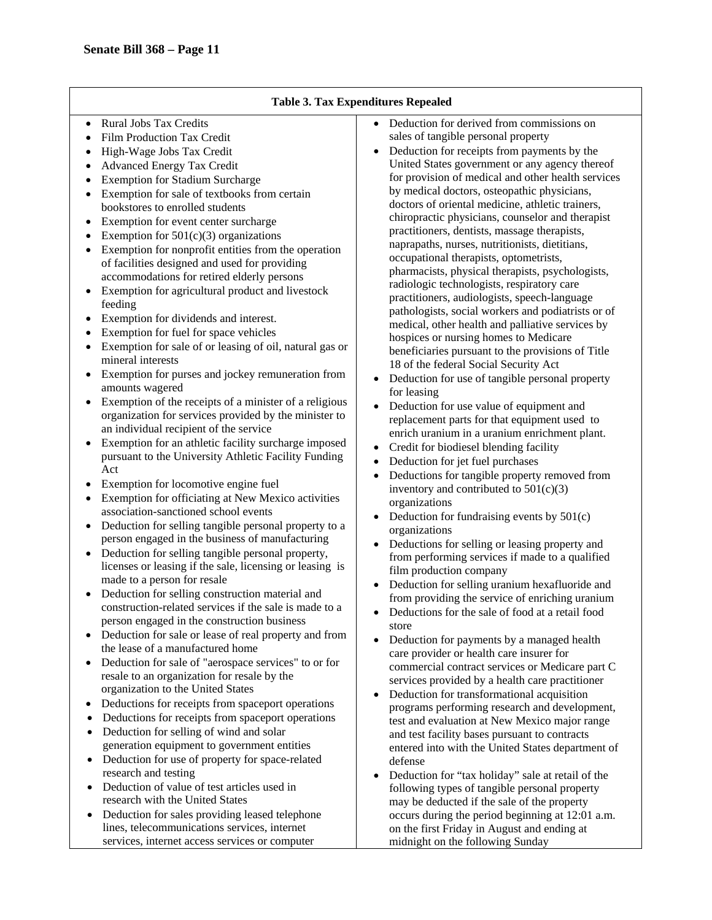#### **Table 3. Tax Expenditures Repealed**

- Rural Jobs Tax Credits
- Film Production Tax Credit
- High-Wage Jobs Tax Credit
- Advanced Energy Tax Credit
- Exemption for Stadium Surcharge
- Exemption for sale of textbooks from certain bookstores to enrolled students
- Exemption for event center surcharge
- Exemption for  $501(c)(3)$  organizations
- Exemption for nonprofit entities from the operation of facilities designed and used for providing accommodations for retired elderly persons
- Exemption for agricultural product and livestock feeding
- Exemption for dividends and interest.
- Exemption for fuel for space vehicles
- Exemption for sale of or leasing of oil, natural gas or mineral interests
- Exemption for purses and jockey remuneration from amounts wagered
- Exemption of the receipts of a minister of a religious organization for services provided by the minister to an individual recipient of the service
- Exemption for an athletic facility surcharge imposed pursuant to the University Athletic Facility Funding Act
- Exemption for locomotive engine fuel
- Exemption for officiating at New Mexico activities association-sanctioned school events
- Deduction for selling tangible personal property to a person engaged in the business of manufacturing
- Deduction for selling tangible personal property, licenses or leasing if the sale, licensing or leasing is made to a person for resale
- Deduction for selling construction material and construction-related services if the sale is made to a person engaged in the construction business
- Deduction for sale or lease of real property and from the lease of a manufactured home
- Deduction for sale of "aerospace services" to or for resale to an organization for resale by the organization to the United States
- Deductions for receipts from spaceport operations
- Deductions for receipts from spaceport operations
- Deduction for selling of wind and solar generation equipment to government entities
- Deduction for use of property for space-related research and testing
- Deduction of value of test articles used in research with the United States
- Deduction for sales providing leased telephone lines, telecommunications services, internet services, internet access services or computer
- Deduction for derived from commissions on sales of tangible personal property
- Deduction for receipts from payments by the United States government or any agency thereof for provision of medical and other health services by medical doctors, osteopathic physicians, doctors of oriental medicine, athletic trainers, chiropractic physicians, counselor and therapist practitioners, dentists, massage therapists, naprapaths, nurses, nutritionists, dietitians, occupational therapists, optometrists, pharmacists, physical therapists, psychologists, radiologic technologists, respiratory care practitioners, audiologists, speech-language pathologists, social workers and podiatrists or of medical, other health and palliative services by hospices or nursing homes to Medicare beneficiaries pursuant to the provisions of Title 18 of the federal Social Security Act
- Deduction for use of tangible personal property for leasing
- Deduction for use value of equipment and replacement parts for that equipment used to enrich uranium in a uranium enrichment plant.
- Credit for biodiesel blending facility
- Deduction for jet fuel purchases
- Deductions for tangible property removed from inventory and contributed to  $501(c)(3)$ organizations
- Deduction for fundraising events by  $501(c)$ organizations
- Deductions for selling or leasing property and from performing services if made to a qualified film production company
- Deduction for selling uranium hexafluoride and from providing the service of enriching uranium
- Deductions for the sale of food at a retail food store
- Deduction for payments by a managed health care provider or health care insurer for commercial contract services or Medicare part C services provided by a health care practitioner
- Deduction for transformational acquisition programs performing research and development, test and evaluation at New Mexico major range and test facility bases pursuant to contracts entered into with the United States department of defense
- Deduction for "tax holiday" sale at retail of the following types of tangible personal property may be deducted if the sale of the property occurs during the period beginning at 12:01 a.m. on the first Friday in August and ending at midnight on the following Sunday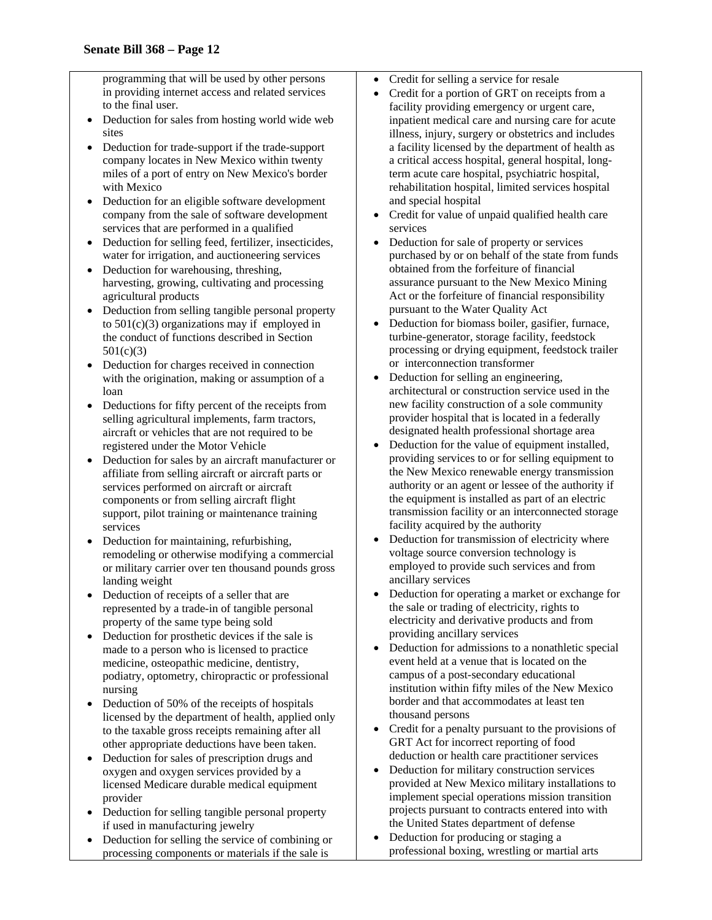programming that will be used by other persons in providing internet access and related services to the final user.

- Deduction for sales from hosting world wide web sites
- Deduction for trade-support if the trade-support company locates in New Mexico within twenty miles of a port of entry on New Mexico's border with Mexico
- Deduction for an eligible software development company from the sale of software development services that are performed in a qualified
- Deduction for selling feed, fertilizer, insecticides, water for irrigation, and auctioneering services
- Deduction for warehousing, threshing, harvesting, growing, cultivating and processing agricultural products
- Deduction from selling tangible personal property to  $501(c)(3)$  organizations may if employed in the conduct of functions described in Section 501(c)(3)
- Deduction for charges received in connection with the origination, making or assumption of a loan
- Deductions for fifty percent of the receipts from selling agricultural implements, farm tractors, aircraft or vehicles that are not required to be registered under the Motor Vehicle
- Deduction for sales by an aircraft manufacturer or affiliate from selling aircraft or aircraft parts or services performed on aircraft or aircraft components or from selling aircraft flight support, pilot training or maintenance training services
- Deduction for maintaining, refurbishing, remodeling or otherwise modifying a commercial or military carrier over ten thousand pounds gross landing weight
- Deduction of receipts of a seller that are represented by a trade-in of tangible personal property of the same type being sold
- Deduction for prosthetic devices if the sale is made to a person who is licensed to practice medicine, osteopathic medicine, dentistry, podiatry, optometry, chiropractic or professional nursing
- Deduction of 50% of the receipts of hospitals licensed by the department of health, applied only to the taxable gross receipts remaining after all other appropriate deductions have been taken.
- Deduction for sales of prescription drugs and oxygen and oxygen services provided by a licensed Medicare durable medical equipment provider
- Deduction for selling tangible personal property if used in manufacturing jewelry
- Deduction for selling the service of combining or processing components or materials if the sale is
- Credit for selling a service for resale
- Credit for a portion of GRT on receipts from a facility providing emergency or urgent care, inpatient medical care and nursing care for acute illness, injury, surgery or obstetrics and includes a facility licensed by the department of health as a critical access hospital, general hospital, longterm acute care hospital, psychiatric hospital, rehabilitation hospital, limited services hospital and special hospital
- Credit for value of unpaid qualified health care services
- Deduction for sale of property or services purchased by or on behalf of the state from funds obtained from the forfeiture of financial assurance pursuant to the New Mexico Mining Act or the forfeiture of financial responsibility pursuant to the Water Quality Act
- Deduction for biomass boiler, gasifier, furnace, turbine-generator, storage facility, feedstock processing or drying equipment, feedstock trailer or interconnection transformer
- Deduction for selling an engineering, architectural or construction service used in the new facility construction of a sole community provider hospital that is located in a federally designated health professional shortage area
- Deduction for the value of equipment installed, providing services to or for selling equipment to the New Mexico renewable energy transmission authority or an agent or lessee of the authority if the equipment is installed as part of an electric transmission facility or an interconnected storage facility acquired by the authority
- Deduction for transmission of electricity where voltage source conversion technology is employed to provide such services and from ancillary services
- Deduction for operating a market or exchange for the sale or trading of electricity, rights to electricity and derivative products and from providing ancillary services
- Deduction for admissions to a nonathletic special event held at a venue that is located on the campus of a post-secondary educational institution within fifty miles of the New Mexico border and that accommodates at least ten thousand persons
- Credit for a penalty pursuant to the provisions of GRT Act for incorrect reporting of food deduction or health care practitioner services
- Deduction for military construction services provided at New Mexico military installations to implement special operations mission transition projects pursuant to contracts entered into with the United States department of defense
- Deduction for producing or staging a professional boxing, wrestling or martial arts